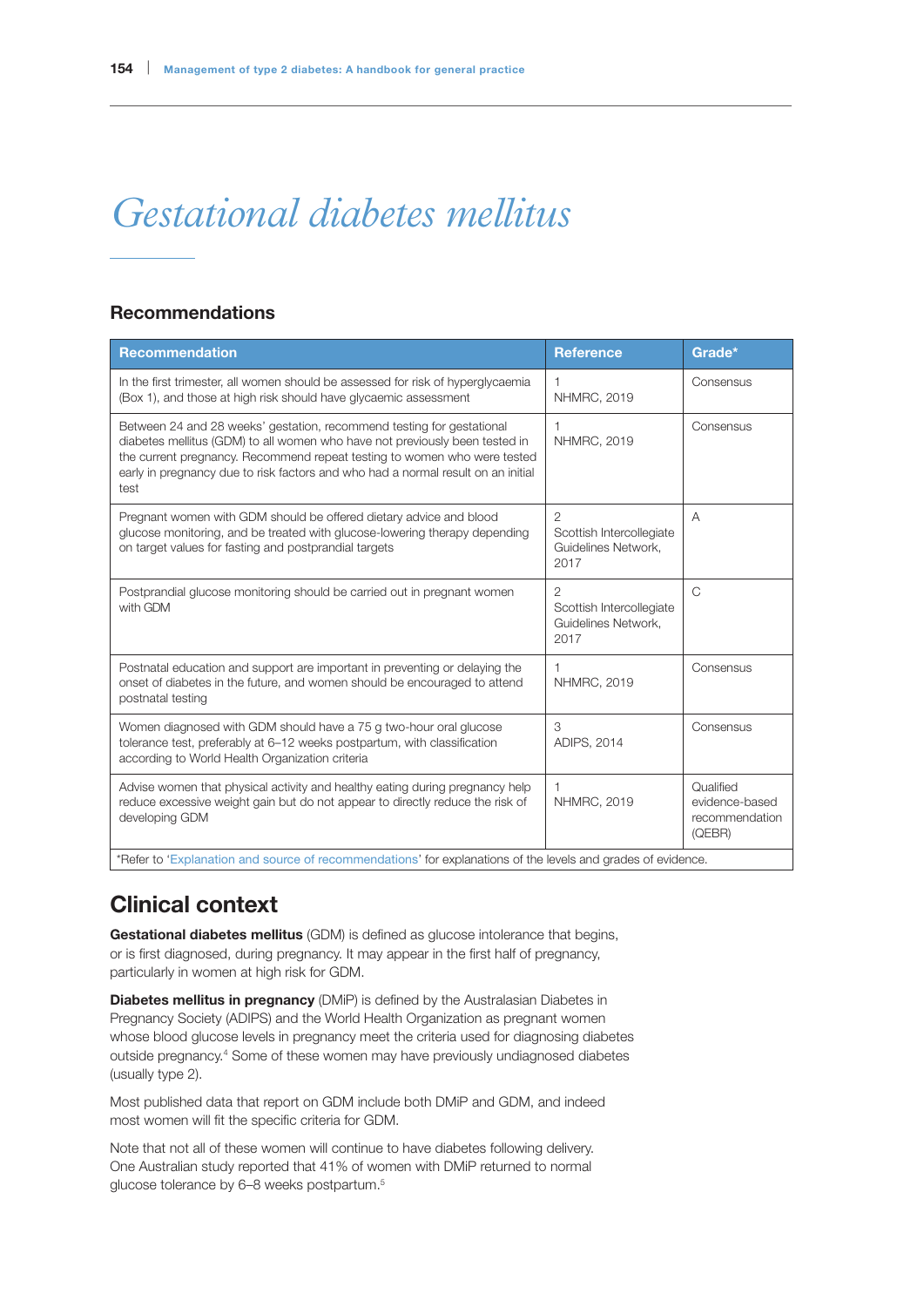# *Gestational diabetes mellitus*

## Recommendations

| <b>Recommendation</b>                                                                                                                                                                                                                                                                                                        | <b>Reference</b>                                                          | Grade*                                                  |
|------------------------------------------------------------------------------------------------------------------------------------------------------------------------------------------------------------------------------------------------------------------------------------------------------------------------------|---------------------------------------------------------------------------|---------------------------------------------------------|
| In the first trimester, all women should be assessed for risk of hyperglycaemia<br>(Box 1), and those at high risk should have glycaemic assessment                                                                                                                                                                          | <b>NHMRC, 2019</b>                                                        | Consensus                                               |
| Between 24 and 28 weeks' gestation, recommend testing for gestational<br>diabetes mellitus (GDM) to all women who have not previously been tested in<br>the current pregnancy. Recommend repeat testing to women who were tested<br>early in pregnancy due to risk factors and who had a normal result on an initial<br>test | 1<br><b>NHMRC, 2019</b>                                                   | Consensus                                               |
| Pregnant women with GDM should be offered dietary advice and blood<br>glucose monitoring, and be treated with glucose-lowering therapy depending<br>on target values for fasting and postprandial targets                                                                                                                    | $\overline{2}$<br>Scottish Intercollegiate<br>Guidelines Network,<br>2017 | A                                                       |
| Postprandial glucose monitoring should be carried out in pregnant women<br>with GDM                                                                                                                                                                                                                                          | 2<br>Scottish Intercollegiate<br>Guidelines Network,<br>2017              | C                                                       |
| Postnatal education and support are important in preventing or delaying the<br>onset of diabetes in the future, and women should be encouraged to attend<br>postnatal testing                                                                                                                                                | 1<br><b>NHMRC, 2019</b>                                                   | Consensus                                               |
| Women diagnosed with GDM should have a 75 g two-hour oral glucose<br>tolerance test, preferably at 6-12 weeks postpartum, with classification<br>according to World Health Organization criteria                                                                                                                             | 3<br>ADIPS, 2014                                                          | Consensus                                               |
| Advise women that physical activity and healthy eating during pregnancy help<br>reduce excessive weight gain but do not appear to directly reduce the risk of<br>developing GDM                                                                                                                                              | <b>NHMRC, 2019</b>                                                        | Qualified<br>evidence-based<br>recommendation<br>(QEBR) |
| *Refer to 'Explanation and source of recommendations' for explanations of the levels and grades of evidence.                                                                                                                                                                                                                 |                                                                           |                                                         |

# Clinical context

Gestational diabetes mellitus (GDM) is defined as glucose intolerance that begins, or is first diagnosed, during pregnancy. It may appear in the first half of pregnancy, particularly in women at high risk for GDM.

**Diabetes mellitus in pregnancy** (DMiP) is defined by the Australasian Diabetes in Pregnancy Society (ADIPS) and the World Health Organization as pregnant women whose blood glucose levels in pregnancy meet the criteria used for diagnosing diabetes outside pregnancy.4 Some of these women may have previously undiagnosed diabetes (usually type 2).

Most published data that report on GDM include both DMiP and GDM, and indeed most women will fit the specific criteria for GDM.

Note that not all of these women will continue to have diabetes following delivery. One Australian study reported that 41% of women with DMiP returned to normal glucose tolerance by 6–8 weeks postpartum.<sup>5</sup>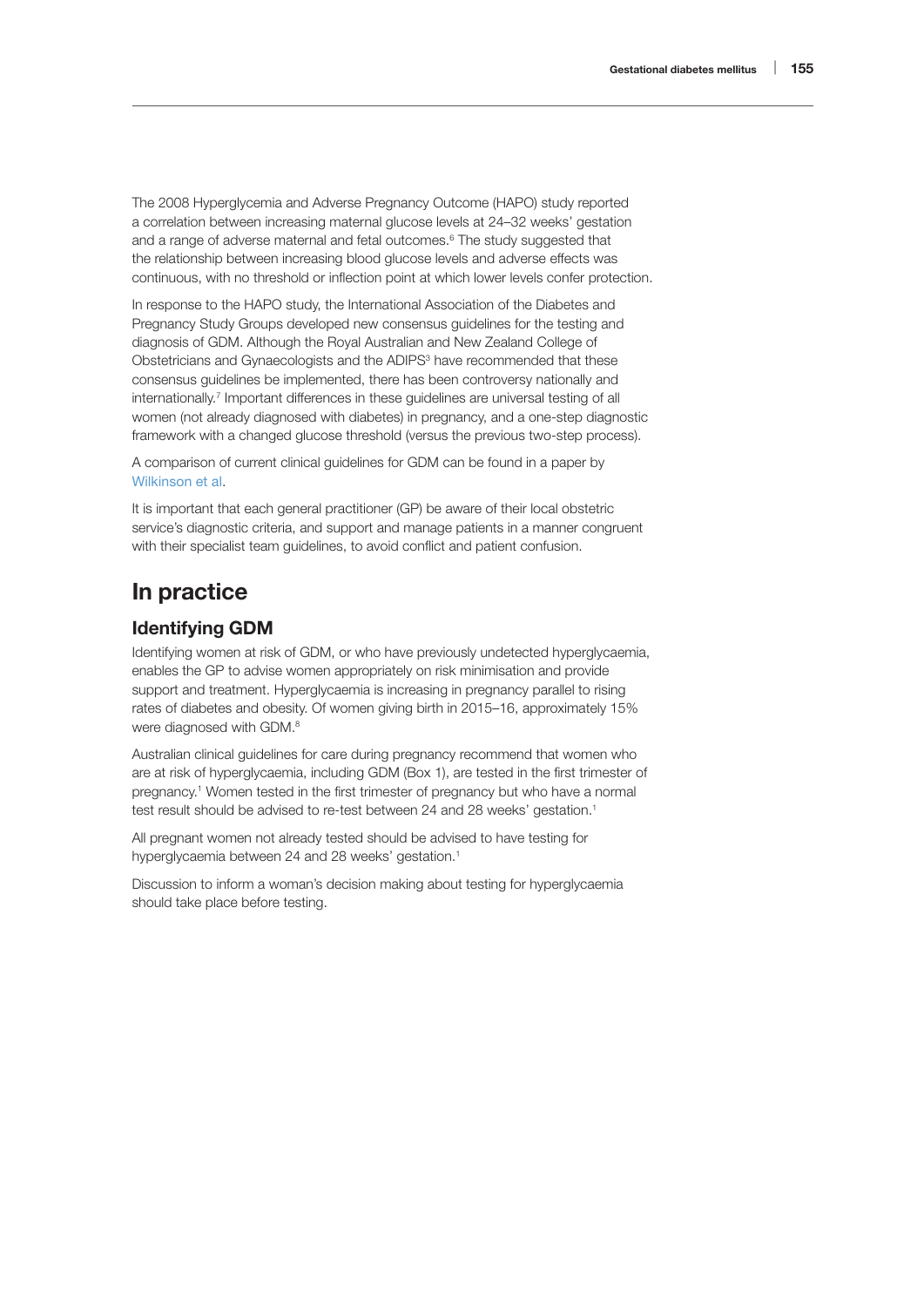The 2008 Hyperglycemia and Adverse Pregnancy Outcome (HAPO) study reported a correlation between increasing maternal glucose levels at 24–32 weeks' gestation and a range of adverse maternal and fetal outcomes.<sup>6</sup> The study suggested that the relationship between increasing blood glucose levels and adverse effects was continuous, with no threshold or inflection point at which lower levels confer protection.

In response to the HAPO study, the International Association of the Diabetes and Pregnancy Study Groups developed new consensus guidelines for the testing and diagnosis of GDM. Although the Royal Australian and New Zealand College of Obstetricians and Gynaecologists and the ADIPS<sup>3</sup> have recommended that these consensus guidelines be implemented, there has been controversy nationally and internationally.<sup>7</sup> Important differences in these guidelines are universal testing of all women (not already diagnosed with diabetes) in pregnancy, and a one-step diagnostic framework with a changed glucose threshold (versus the previous two-step process).

A comparison of current clinical guidelines for GDM can be found in a paper by [Wilkinson et al](https://www.mja.com.au/journal/2014/201/3/whos-responsible-care-women-during-and-after-pregnancy-affected-gestational).

It is important that each general practitioner (GP) be aware of their local obstetric service's diagnostic criteria, and support and manage patients in a manner congruent with their specialist team guidelines, to avoid conflict and patient confusion.

# In practice

## Identifying GDM

Identifying women at risk of GDM, or who have previously undetected hyperglycaemia, enables the GP to advise women appropriately on risk minimisation and provide support and treatment. Hyperglycaemia is increasing in pregnancy parallel to rising rates of diabetes and obesity. Of women giving birth in 2015–16, approximately 15% were diagnosed with GDM.<sup>8</sup>

Australian clinical guidelines for care during pregnancy recommend that women who are at risk of hyperglycaemia, including GDM (Box 1), are tested in the first trimester of pregnancy.1 Women tested in the first trimester of pregnancy but who have a normal test result should be advised to re-test between 24 and 28 weeks' gestation.<sup>1</sup>

All pregnant women not already tested should be advised to have testing for hyperglycaemia between 24 and 28 weeks' gestation.<sup>1</sup>

Discussion to inform a woman's decision making about testing for hyperglycaemia should take place before testing.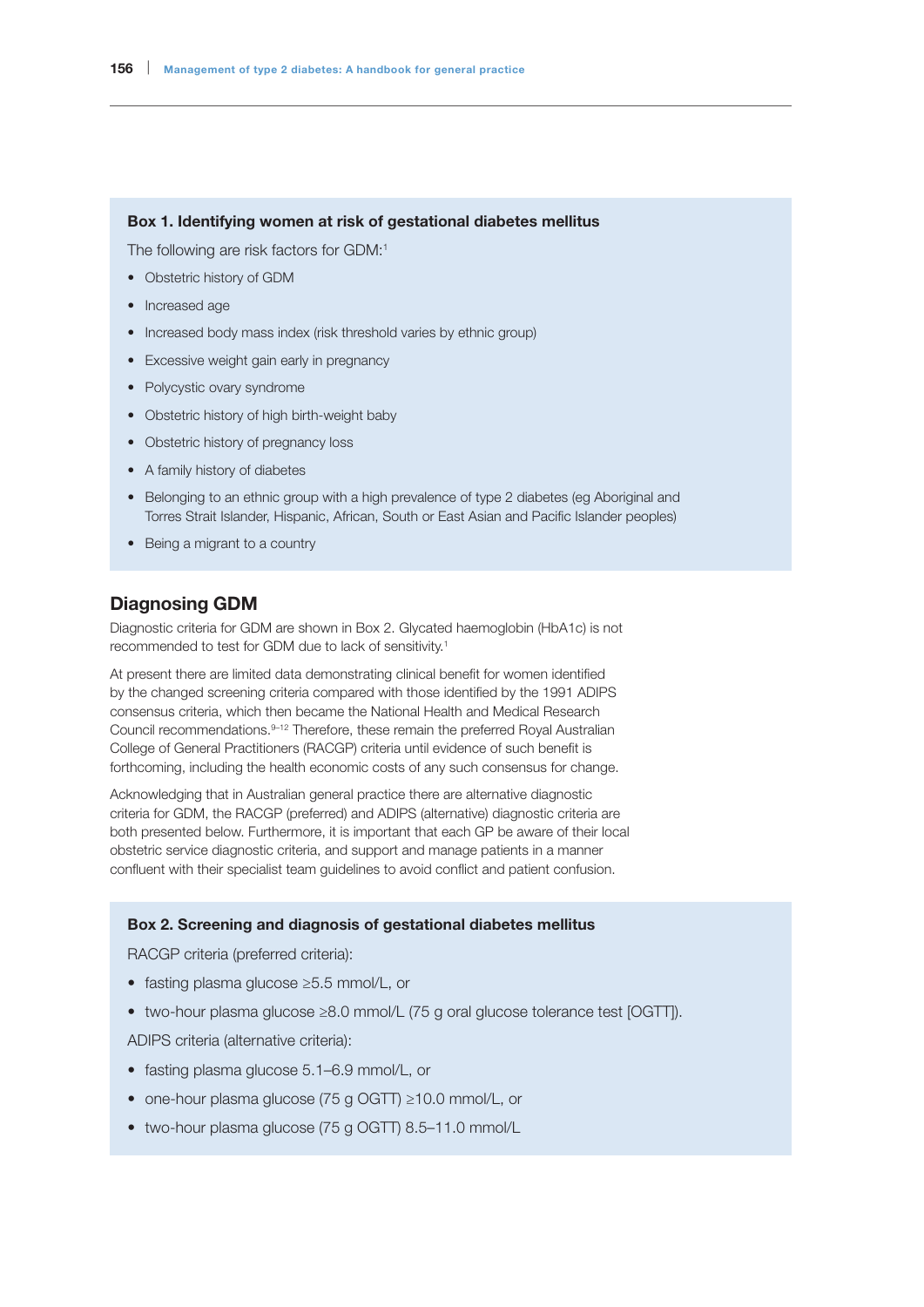#### Box 1. Identifying women at risk of gestational diabetes mellitus

The following are risk factors for GDM:1

- Obstetric history of GDM
- Increased age
- Increased body mass index (risk threshold varies by ethnic group)
- Excessive weight gain early in pregnancy
- Polycystic ovary syndrome
- Obstetric history of high birth-weight baby
- Obstetric history of pregnancy loss
- A family history of diabetes
- Belonging to an ethnic group with a high prevalence of type 2 diabetes (eg Aboriginal and Torres Strait Islander, Hispanic, African, South or East Asian and Pacific Islander peoples)
- Being a migrant to a country

#### Diagnosing GDM

Diagnostic criteria for GDM are shown in Box 2. Glycated haemoglobin (HbA1c) is not recommended to test for GDM due to lack of sensitivity.1

At present there are limited data demonstrating clinical benefit for women identified by the changed screening criteria compared with those identified by the 1991 ADIPS consensus criteria, which then became the National Health and Medical Research Council recommendations.9–12 Therefore, these remain the preferred Royal Australian College of General Practitioners (RACGP) criteria until evidence of such benefit is forthcoming, including the health economic costs of any such consensus for change.

Acknowledging that in Australian general practice there are alternative diagnostic criteria for GDM, the RACGP (preferred) and ADIPS (alternative) diagnostic criteria are both presented below. Furthermore, it is important that each GP be aware of their local obstetric service diagnostic criteria, and support and manage patients in a manner confluent with their specialist team guidelines to avoid conflict and patient confusion.

#### Box 2. Screening and diagnosis of gestational diabetes mellitus

RACGP criteria (preferred criteria):

- fasting plasma glucose ≥5.5 mmol/L, or
- two-hour plasma glucose ≥8.0 mmol/L (75 g oral glucose tolerance test [OGTT]).

ADIPS criteria (alternative criteria):

- fasting plasma glucose 5.1–6.9 mmol/L, or
- one-hour plasma glucose (75 g OGTT) ≥10.0 mmol/L, or
- two-hour plasma glucose (75 g OGTT) 8.5–11.0 mmol/L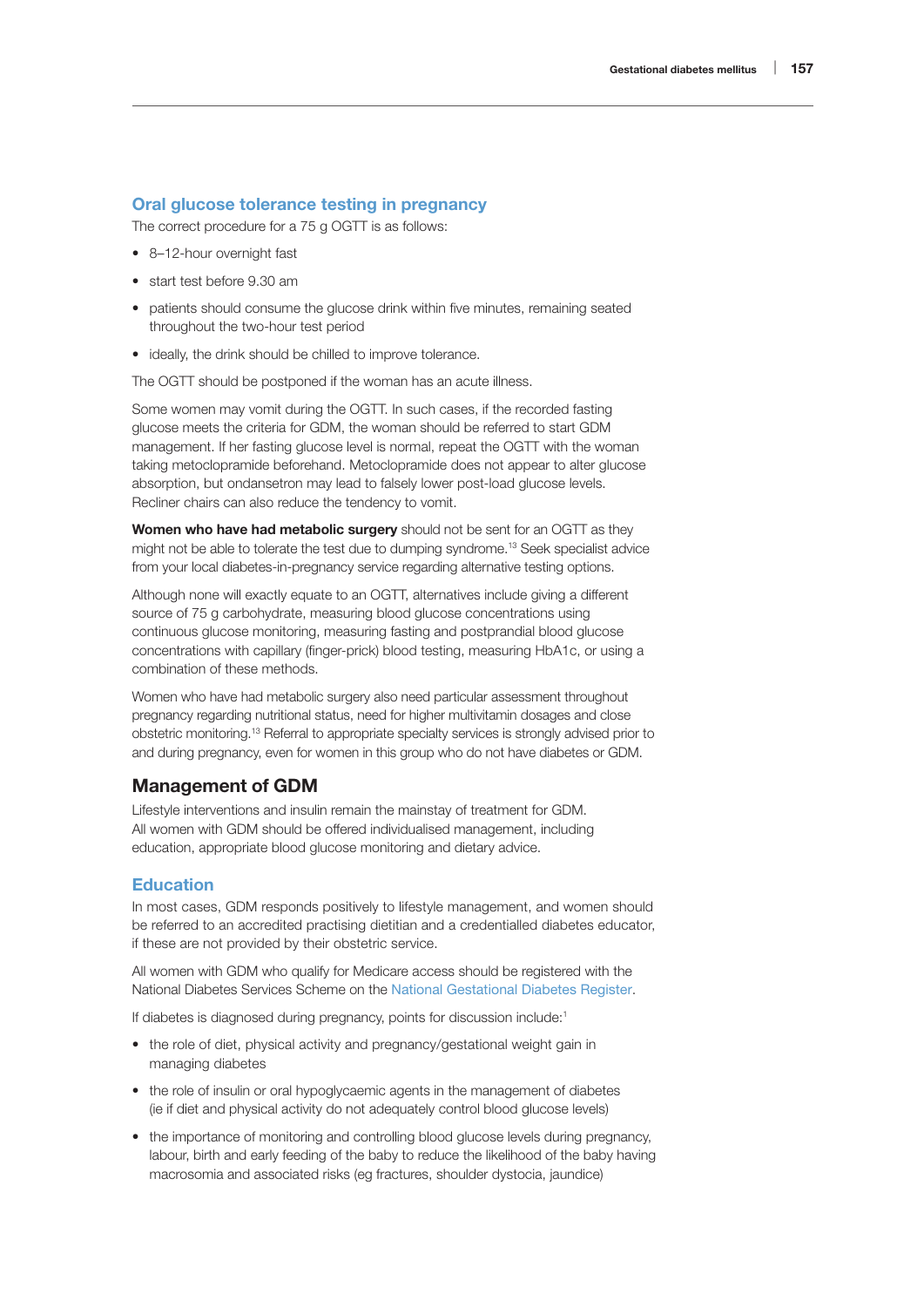#### Oral glucose tolerance testing in pregnancy

The correct procedure for a 75 g OGTT is as follows:

- 8–12-hour overnight fast
- start test before 9.30 am
- patients should consume the glucose drink within five minutes, remaining seated throughout the two-hour test period
- ideally, the drink should be chilled to improve tolerance.

The OGTT should be postponed if the woman has an acute illness.

Some women may vomit during the OGTT. In such cases, if the recorded fasting glucose meets the criteria for GDM, the woman should be referred to start GDM management. If her fasting glucose level is normal, repeat the OGTT with the woman taking metoclopramide beforehand. Metoclopramide does not appear to alter glucose absorption, but ondansetron may lead to falsely lower post-load glucose levels. Recliner chairs can also reduce the tendency to vomit.

Women who have had metabolic surgery should not be sent for an OGTT as they might not be able to tolerate the test due to dumping syndrome.13 Seek specialist advice from your local diabetes-in-pregnancy service regarding alternative testing options.

Although none will exactly equate to an OGTT, alternatives include giving a different source of 75 g carbohydrate, measuring blood glucose concentrations using continuous glucose monitoring, measuring fasting and postprandial blood glucose concentrations with capillary (finger-prick) blood testing, measuring HbA1c, or using a combination of these methods.

Women who have had metabolic surgery also need particular assessment throughout pregnancy regarding nutritional status, need for higher multivitamin dosages and close obstetric monitoring.13 Referral to appropriate specialty services is strongly advised prior to and during pregnancy, even for women in this group who do not have diabetes or GDM.

#### Management of GDM

Lifestyle interventions and insulin remain the mainstay of treatment for GDM. All women with GDM should be offered individualised management, including education, appropriate blood glucose monitoring and dietary advice.

#### Education

In most cases, GDM responds positively to lifestyle management, and women should be referred to an accredited practising dietitian and a credentialled diabetes educator, if these are not provided by their obstetric service.

All women with GDM who qualify for Medicare access should be registered with the National Diabetes Services Scheme on the [National Gestational Diabetes Register](https://www.ndss.com.au/about-the-ndss/national-gestational-diabetes-register/).

If diabetes is diagnosed during pregnancy, points for discussion include:1

- the role of diet, physical activity and pregnancy/gestational weight gain in managing diabetes
- the role of insulin or oral hypoglycaemic agents in the management of diabetes (ie if diet and physical activity do not adequately control blood glucose levels)
- the importance of monitoring and controlling blood glucose levels during pregnancy, labour, birth and early feeding of the baby to reduce the likelihood of the baby having macrosomia and associated risks (eg fractures, shoulder dystocia, jaundice)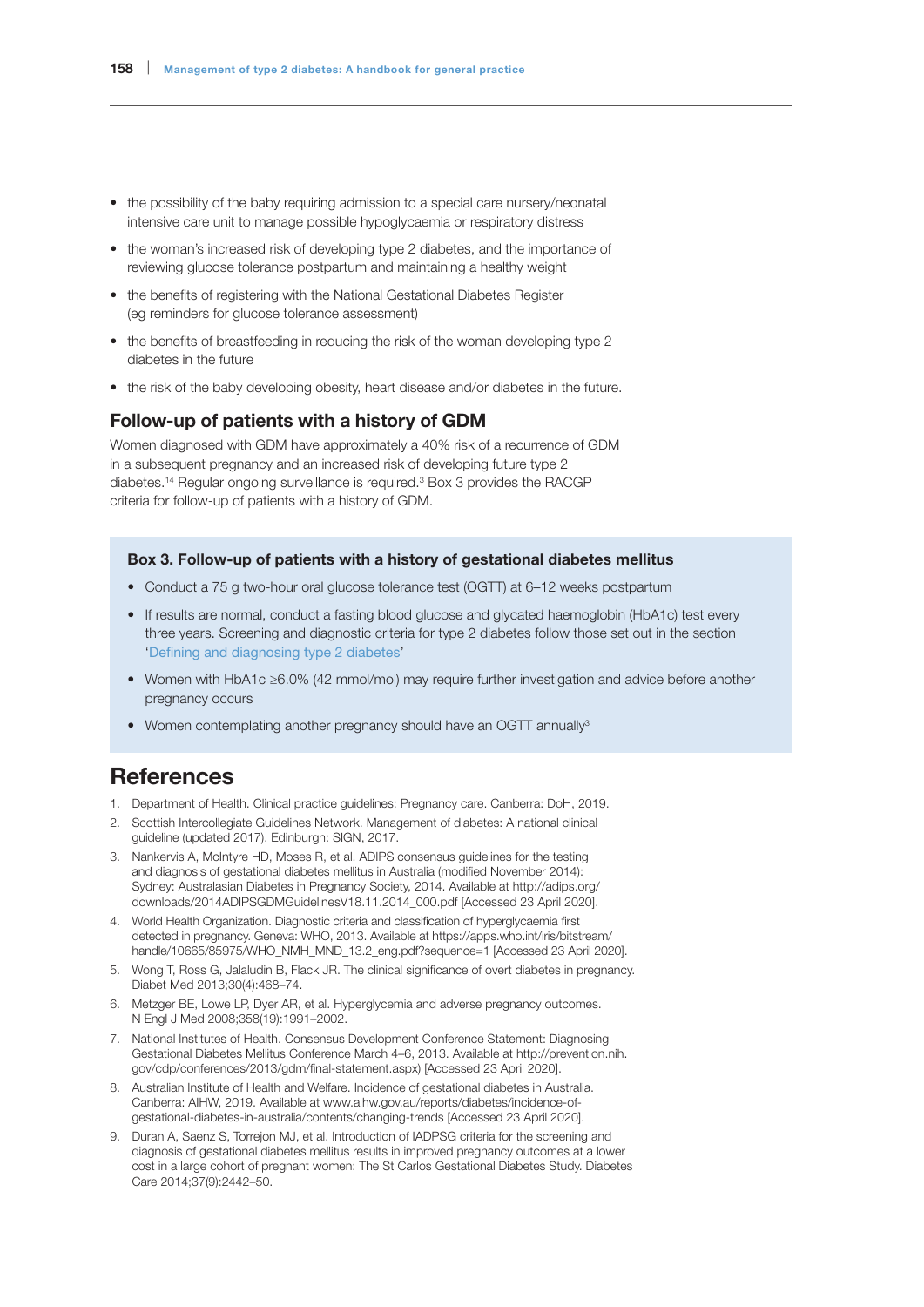- the possibility of the baby requiring admission to a special care nursery/neonatal intensive care unit to manage possible hypoglycaemia or respiratory distress
- the woman's increased risk of developing type 2 diabetes, and the importance of reviewing glucose tolerance postpartum and maintaining a healthy weight
- the benefits of registering with the National Gestational Diabetes Register (eg reminders for glucose tolerance assessment)
- the benefits of breastfeeding in reducing the risk of the woman developing type 2 diabetes in the future
- the risk of the baby developing obesity, heart disease and/or diabetes in the future.

### Follow-up of patients with a history of GDM

Women diagnosed with GDM have approximately a 40% risk of a recurrence of GDM in a subsequent pregnancy and an increased risk of developing future type 2 diabetes.<sup>14</sup> Regular ongoing surveillance is required.<sup>3</sup> Box 3 provides the RACGP criteria for follow-up of patients with a history of GDM.

#### Box 3. Follow-up of patients with a history of gestational diabetes mellitus

- Conduct a 75 g two-hour oral glucose tolerance test (OGTT) at 6–12 weeks postpartum
- If results are normal, conduct a fasting blood glucose and glycated haemoglobin (HbA1c) test every three years. Screening and diagnostic criteria for type 2 diabetes follow those set out in the section 'Defining and diagnosing type 2 diabetes'
- Women with HbA1c ≥6.0% (42 mmol/mol) may require further investigation and advice before another pregnancy occurs
- Women contemplating another pregnancy should have an OGTT annually<sup>3</sup>

## **References**

- 1. Department of Health. Clinical practice guidelines: Pregnancy care. Canberra: DoH, 2019.
- 2. Scottish Intercollegiate Guidelines Network. Management of diabetes: A national clinical guideline (updated 2017). Edinburgh: SIGN, 2017.
- 3. Nankervis A, McIntyre HD, Moses R, et al. ADIPS consensus guidelines for the testing and diagnosis of gestational diabetes mellitus in Australia (modified November 2014): Sydney: Australasian Diabetes in Pregnancy Society, 2014. Available at [http://adips.org/](http://adips.org/downloads/2014ADIPSGDMGuidelinesV18.11.2014_000.pdf) [downloads/2014ADIPSGDMGuidelinesV18.11.2014\\_000.pdf](http://adips.org/downloads/2014ADIPSGDMGuidelinesV18.11.2014_000.pdf) [Accessed 23 April 2020].
- 4. World Health Organization. Diagnostic criteria and classification of hyperglycaemia first detected in pregnancy. Geneva: WHO, 2013. Available at https://apps.who.int/iris/bitstream/ handle/10665/85975/WHO\_NMH\_MND\_13.2\_eng.pdf?sequence=1 [Accessed 23 April 2020].
- 5. Wong T, Ross G, Jalaludin B, Flack JR. The clinical significance of overt diabetes in pregnancy. Diabet Med 2013;30(4):468–74.
- 6. Metzger BE, Lowe LP, Dyer AR, et al. Hyperglycemia and adverse pregnancy outcomes. N Engl J Med 2008;358(19):1991–2002.
- 7. National Institutes of Health. Consensus Development Conference Statement: Diagnosing Gestational Diabetes Mellitus Conference March 4–6, 2013. Available at [http://prevention.nih.](http://prevention.nih.gov/cdp/conferences/2013/gdm/final-statement.aspx)) [gov/cdp/conferences/2013/gdm/final-statement.aspx\)](http://prevention.nih.gov/cdp/conferences/2013/gdm/final-statement.aspx)) [Accessed 23 April 2020].
- 8. Australian Institute of Health and Welfare. Incidence of gestational diabetes in Australia. Canberra: AIHW, 2019. Available at [www.aihw.gov.au/reports/diabetes/incidence-of](http://www.aihw.gov.au/reports/diabetes/incidence-of-gestational-diabetes-in-australia/contents/changing-trends)[gestational-diabetes-in-australia/contents/changing-trends](http://www.aihw.gov.au/reports/diabetes/incidence-of-gestational-diabetes-in-australia/contents/changing-trends) [Accessed 23 April 2020].
- 9. Duran A, Saenz S, Torrejon MJ, et al. Introduction of IADPSG criteria for the screening and diagnosis of gestational diabetes mellitus results in improved pregnancy outcomes at a lower cost in a large cohort of pregnant women: The St Carlos Gestational Diabetes Study. Diabetes Care 2014;37(9):2442–50.